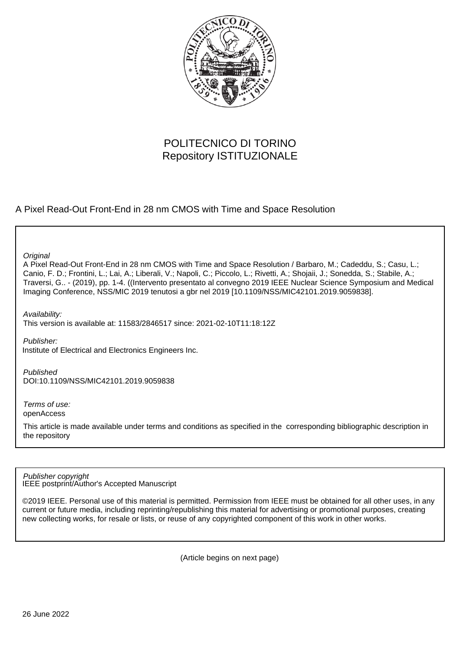

# POLITECNICO DI TORINO Repository ISTITUZIONALE

A Pixel Read-Out Front-End in 28 nm CMOS with Time and Space Resolution

**Original** 

A Pixel Read-Out Front-End in 28 nm CMOS with Time and Space Resolution / Barbaro, M.; Cadeddu, S.; Casu, L.; Canio, F. D.; Frontini, L.; Lai, A.; Liberali, V.; Napoli, C.; Piccolo, L.; Rivetti, A.; Shojaii, J.; Sonedda, S.; Stabile, A.; Traversi, G.. - (2019), pp. 1-4. ((Intervento presentato al convegno 2019 IEEE Nuclear Science Symposium and Medical Imaging Conference, NSS/MIC 2019 tenutosi a gbr nel 2019 [10.1109/NSS/MIC42101.2019.9059838].

Availability:

This version is available at: 11583/2846517 since: 2021-02-10T11:18:12Z

Publisher:

Institute of Electrical and Electronics Engineers Inc.

Published DOI:10.1109/NSS/MIC42101.2019.9059838

Terms of use: openAccess

This article is made available under terms and conditions as specified in the corresponding bibliographic description in the repository

IEEE postprint/Author's Accepted Manuscript Publisher copyright

©2019 IEEE. Personal use of this material is permitted. Permission from IEEE must be obtained for all other uses, in any current or future media, including reprinting/republishing this material for advertising or promotional purposes, creating new collecting works, for resale or lists, or reuse of any copyrighted component of this work in other works.

(Article begins on next page)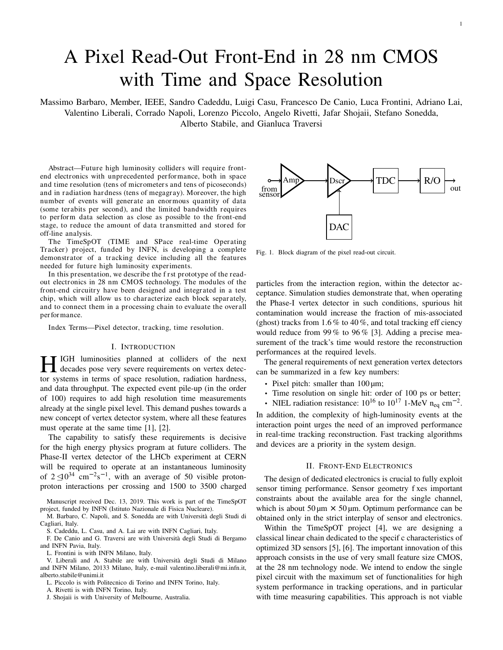# A Pixel Read-Out Front-End in 28 nm CMOS with Time and Space Resolution

Massimo Barbaro, Member, IEEE, Sandro Cadeddu, Luigi Casu, Francesco De Canio, Luca Frontini, Adriano Lai, Valentino Liberali, Corrado Napoli, Lorenzo Piccolo, Angelo Rivetti, Jafar Shojaii, Stefano Sonedda, Alberto Stabile, and Gianluca Traversi

Abstract—Future high luminosity colliders will require frontend electronics with unprecedented per formance, both in space and time resolution (tens of micrometer s and tens of picoseconds) and in radiation hardness (tens of megagray). Moreover, the high number of events will gener ate an enormous quantity of data (some ter abits per second), and the limited bandwidth requires to per form data selection as close as possible to the front-end stage, to reduce the amount of data transmitted and stored for off-line analysis.

The TimeSpOT (TIME and SPace real-time Operating Tracker) project, funded by INFN, is developing a complete demonstrator of a tracking device including all the features needed for future high luminosity experiments.

In this presentation, we describe the f r st prototype of the readout electronics in 28 nm CMOS technology. The modules of the front-end circuitry have been designed and integrated in a test chip, which will allow us to char acterize each block separ ately, and to connect them in a processing chain to evaluate the over all per formance.

Index Terms—Pixel detector, tr acking, time resolution.

#### I. INTRODUCTION

HIGH luminosities planned at colliders of the next decades pose very severe requirements on vertex detector systems in terms of space resolution, radiation hardness, and data throughput. The expected event pile-up (in the order of 100) requires to add high resolution time measurements already at the single pixel level. This demand pushes towards a new concept of vertex detector system, where all these features must operate at the same time [1], [2].

The capability to satisfy these requirements is decisive for the high energy physics program at future colliders. The Phase-II vertex detector of the LHCb experiment at CERN will be required to operate at an instantaneous luminosity of  $2 \le 0^{34}$  cm<sup>-2</sup>s<sup>-1</sup>, with an average of 50 visible protonproton interactions per crossing and 1500 to 3500 charged

Manuscript received Dec. 13, 2019. This work is part of the TimeSpOT project, funded by INFN (Istituto Nazionale di Fisica Nucleare).

M. Barbaro, C. Napoli, and S. Sonedda are with Universita degli Studi di ` Cagliari, Italy.

S. Cadeddu, L. Casu, and A. Lai are with INFN Cagliari, Italy.

F. De Canio and G. Traversi are with Universita degli Studi di Bergamo ` and INFN Pavia, Italy.

L. Frontini is with INFN Milano, Italy.

V. Liberali and A. Stabile are with Universita degli Studi di Milano ` and INFN Milano, 20133 Milano, Italy, e-mail valentino.liberali@mi.infn.it, alberto.stabile@unimi.it

L. Piccolo is with Politecnico di Torino and INFN Torino, Italy.

A. Rivetti is with INFN Torino, Italy.

J. Shojaii is with University of Melbourne, Australia.



Fig. 1. Block diagram of the pixel read-out circuit.

particles from the interaction region, within the detector acceptance. Simulation studies demonstrate that, when operating the Phase-I vertex detector in such conditions, spurious hit contamination would increase the fraction of mis-associated (ghost) tracks from 1.6 % to 40 %, and total tracking eff ciency would reduce from 99 % to 96 % [3]. Adding a precise measurement of the track's time would restore the reconstruction performances at the required levels.

The general requirements of next generation vertex detectors can be summarized in a few key numbers:

- Pixel pitch: smaller than 100  $\mu$ m;
- Time resolution on single hit: order of 100 ps or better;
- NIEL radiation resistance:  $10^{16}$  to  $10^{17}$  1-MeV n<sub>eq</sub> cm<sup>-2</sup>.

In addition, the complexity of high-luminosity events at the interaction point urges the need of an improved performance in real-time tracking reconstruction. Fast tracking algorithms and devices are a priority in the system design.

#### II. FRONT-END ELECTRONICS

The design of dedicated electronics is crucial to fully exploit sensor timing performance. Sensor geometry f xes important constraints about the available area for the single channel, which is about  $50 \mu m \times 50 \mu m$ . Optimum performance can be obtained only in the strict interplay of sensor and electronics.

Within the TimeSpOT project [4], we are designing a classical linear chain dedicated to the specif c characteristics of optimized 3D sensors [5], [6]. The important innovation of this approach consists in the use of very small feature size CMOS, at the 28 nm technology node. We intend to endow the single pixel circuit with the maximum set of functionalities for high system performance in tracking operations, and in particular with time measuring capabilities. This approach is not viable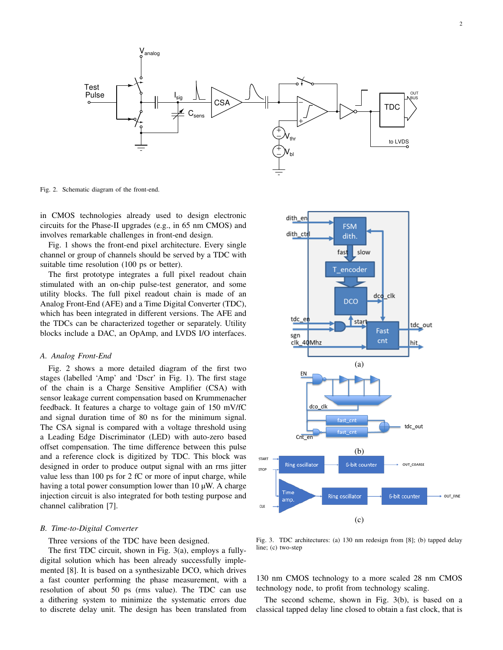

Fig. 2. Schematic diagram of the front-end.

in CMOS technologies already used to design electronic circuits for the Phase-II upgrades (e.g., in 65 nm CMOS) and involves remarkable challenges in front-end design.

Fig. 1 shows the front-end pixel architecture. Every single channel or group of channels should be served by a TDC with suitable time resolution (100 ps or better).

The first prototype integrates a full pixel readout chain stimulated with an on-chip pulse-test generator, and some utility blocks. The full pixel readout chain is made of an Analog Front-End (AFE) and a Time Digital Converter (TDC), which has been integrated in different versions. The AFE and the TDCs can be characterized together or separately. Utility blocks include a DAC, an OpAmp, and LVDS I/O interfaces.

#### *A. Analog Front-End*

Fig. 2 shows a more detailed diagram of the first two stages (labelled 'Amp' and 'Dscr' in Fig. 1). The first stage of the chain is a Charge Sensitive Amplifier (CSA) with sensor leakage current compensation based on Krummenacher feedback. It features a charge to voltage gain of 150 mV/fC and signal duration time of 80 ns for the minimum signal. The CSA signal is compared with a voltage threshold using a Leading Edge Discriminator (LED) with auto-zero based offset compensation. The time difference between this pulse and a reference clock is digitized by TDC. This block was designed in order to produce output signal with an rms jitter value less than 100 ps for 2 fC or more of input charge, while having a total power consumption lower than 10  $\mu$ W. A charge injection circuit is also integrated for both testing purpose and channel calibration [7].

### *B. Time-to-Digital Converter*

#### Three versions of the TDC have been designed.

The first TDC circuit, shown in Fig. 3(a), employs a fullydigital solution which has been already successfully implemented [8]. It is based on a synthesizable DCO, which drives a fast counter performing the phase measurement, with a resolution of about 50 ps (rms value). The TDC can use a dithering system to minimize the systematic errors due to discrete delay unit. The design has been translated from



Fig. 3. TDC architectures: (a) 130 nm redesign from [8]; (b) tapped delay line; (c) two-step

130 nm CMOS technology to a more scaled 28 nm CMOS technology node, to profit from technology scaling.

The second scheme, shown in Fig. 3(b), is based on a classical tapped delay line closed to obtain a fast clock, that is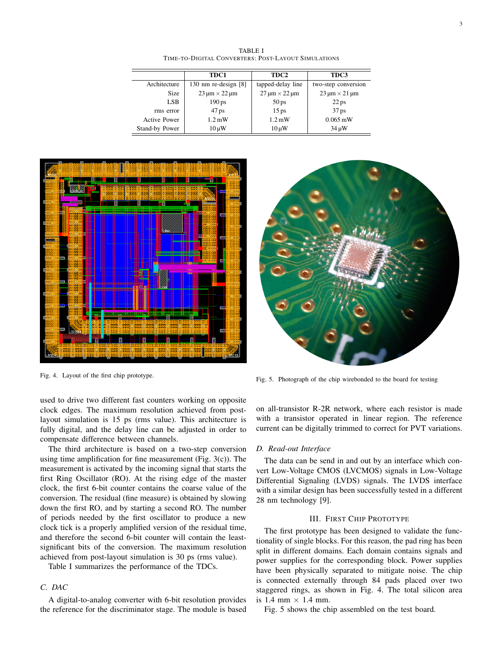TABLE I TIME-TO-DIGITAL CONVERTERS: POST-LAYOUT SIMULATIONS

|                     | TDC1                       | TDC2                       | TDC3                       |
|---------------------|----------------------------|----------------------------|----------------------------|
| Architecture        | 130 nm re-design $[8]$     | tapped-delay line          | two-step conversion        |
| <b>Size</b>         | $23 \mu m \times 22 \mu m$ | $27 \mu m \times 22 \mu m$ | $23 \mu m \times 21 \mu m$ |
| LSB                 | 190 <sub>ps</sub>          | 50 <sub>ps</sub>           | $22$ ps                    |
| rms error           | 47 <sub>ps</sub>           | 15 <sub>ps</sub>           | 37 <sub>ps</sub>           |
| <b>Active Power</b> | $1.2 \text{ mW}$           | $1.2 \text{ mW}$           | $0.065 \,\mathrm{mW}$      |
| Stand-by Power      | $10 \mu W$                 | $10 \mu W$                 | $34 \mu W$                 |



Fig. 4. Layout of the first chip prototype.



Fig. 5. Photograph of the chip wirebonded to the board for testing

used to drive two different fast counters working on opposite clock edges. The maximum resolution achieved from postlayout simulation is 15 ps (rms value). This architecture is fully digital, and the delay line can be adjusted in order to compensate difference between channels.

The third architecture is based on a two-step conversion using time amplification for fine measurement (Fig.  $3(c)$ ). The measurement is activated by the incoming signal that starts the first Ring Oscillator (RO). At the rising edge of the master clock, the first 6-bit counter contains the coarse value of the conversion. The residual (fine measure) is obtained by slowing down the first RO, and by starting a second RO. The number of periods needed by the first oscillator to produce a new clock tick is a properly amplified version of the residual time, and therefore the second 6-bit counter will contain the leastsignificant bits of the conversion. The maximum resolution achieved from post-layout simulation is 30 ps (rms value).

Table I summarizes the performance of the TDCs.

# *C. DAC*

A digital-to-analog converter with 6-bit resolution provides the reference for the discriminator stage. The module is based

on all-transistor R-2R network, where each resistor is made with a transistor operated in linear region. The reference current can be digitally trimmed to correct for PVT variations.

#### *D. Read-out Interface*

The data can be send in and out by an interface which convert Low-Voltage CMOS (LVCMOS) signals in Low-Voltage Differential Signaling (LVDS) signals. The LVDS interface with a similar design has been successfully tested in a different 28 nm technology [9].

# III. FIRST CHIP PROTOTYPE

The first prototype has been designed to validate the functionality of single blocks. For this reason, the pad ring has been split in different domains. Each domain contains signals and power supplies for the corresponding block. Power supplies have been physically separated to mitigate noise. The chip is connected externally through 84 pads placed over two staggered rings, as shown in Fig. 4. The total silicon area is 1.4 mm  $\times$  1.4 mm.

Fig. 5 shows the chip assembled on the test board.